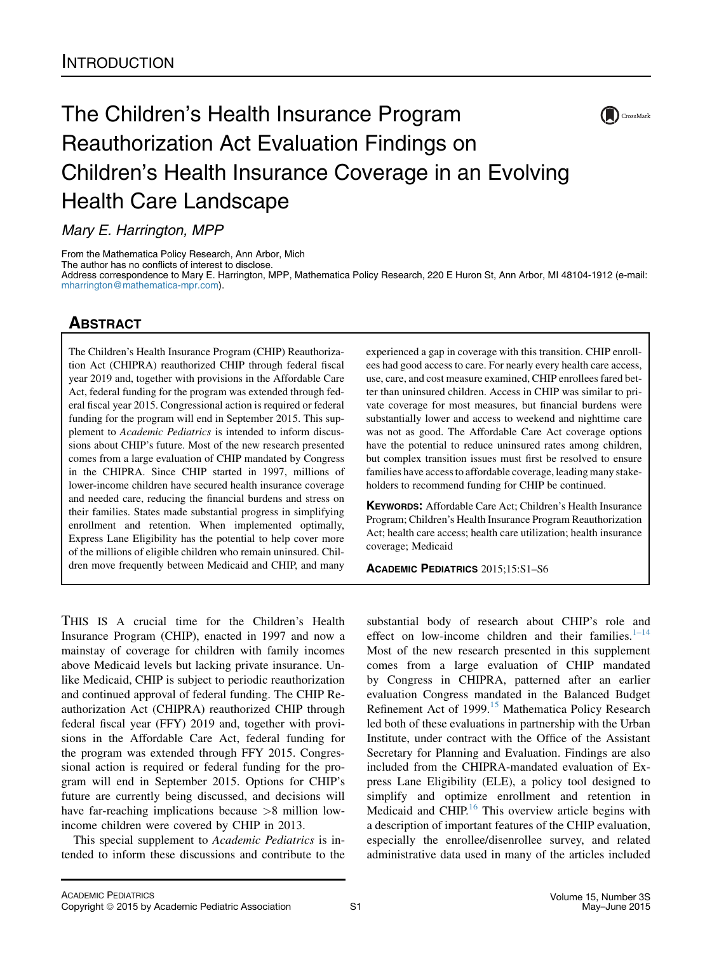# The Children's Health Insurance Program Reauthorization Act Evaluation Findings on Children's Health Insurance Coverage in an Evolving Health Care Landscape

Mary E. Harrington, MPP

From the Mathematica Policy Research, Ann Arbor, Mich The author has no conflicts of interest to disclose. Address correspondence to Mary E. Harrington, MPP, Mathematica Policy Research, 220 E Huron St, Ann Arbor, MI 48104-1912 (e-mail: [mharrington@mathematica-mpr.com\)](mailto:mharrington@mathematica-mpr.com).

# **ABSTRACT**

The Children's Health Insurance Program (CHIP) Reauthorization Act (CHIPRA) reauthorized CHIP through federal fiscal year 2019 and, together with provisions in the Affordable Care Act, federal funding for the program was extended through federal fiscal year 2015. Congressional action is required or federal funding for the program will end in September 2015. This supplement to Academic Pediatrics is intended to inform discussions about CHIP's future. Most of the new research presented comes from a large evaluation of CHIP mandated by Congress in the CHIPRA. Since CHIP started in 1997, millions of lower-income children have secured health insurance coverage and needed care, reducing the financial burdens and stress on their families. States made substantial progress in simplifying enrollment and retention. When implemented optimally, Express Lane Eligibility has the potential to help cover more of the millions of eligible children who remain uninsured. Children move frequently between Medicaid and CHIP, and many

experienced a gap in coverage with this transition. CHIP enrollees had good access to care. For nearly every health care access, use, care, and cost measure examined, CHIP enrollees fared better than uninsured children. Access in CHIP was similar to private coverage for most measures, but financial burdens were substantially lower and access to weekend and nighttime care was not as good. The Affordable Care Act coverage options have the potential to reduce uninsured rates among children, but complex transition issues must first be resolved to ensure families have access to affordable coverage, leading many stakeholders to recommend funding for CHIP be continued.

KEYWORDS: Affordable Care Act; Children's Health Insurance Program; Children's Health Insurance Program Reauthorization Act; health care access; health care utilization; health insurance coverage; Medicaid

ACADEMIC PEDIATRICS 2015;15:S1–S6

THIS IS A crucial time for the Children's Health Insurance Program (CHIP), enacted in 1997 and now a mainstay of coverage for children with family incomes above Medicaid levels but lacking private insurance. Unlike Medicaid, CHIP is subject to periodic reauthorization and continued approval of federal funding. The CHIP Reauthorization Act (CHIPRA) reauthorized CHIP through federal fiscal year (FFY) 2019 and, together with provisions in the Affordable Care Act, federal funding for the program was extended through FFY 2015. Congressional action is required or federal funding for the program will end in September 2015. Options for CHIP's future are currently being discussed, and decisions will have far-reaching implications because >8 million lowincome children were covered by CHIP in 2013.

This special supplement to Academic Pediatrics is intended to inform these discussions and contribute to the

substantial body of research about CHIP's role and effect on low-income children and their families. $1-14$ Most of the new research presented in this supplement comes from a large evaluation of CHIP mandated by Congress in CHIPRA, patterned after an earlier evaluation Congress mandated in the Balanced Budget Refinement Act of 1999.<sup>[15](#page-5-0)</sup> Mathematica Policy Research led both of these evaluations in partnership with the Urban Institute, under contract with the Office of the Assistant Secretary for Planning and Evaluation. Findings are also included from the CHIPRA-mandated evaluation of Express Lane Eligibility (ELE), a policy tool designed to simplify and optimize enrollment and retention in Medicaid and CHIP.<sup>[16](#page-5-0)</sup> This overview article begins with a description of important features of the CHIP evaluation, especially the enrollee/disenrollee survey, and related administrative data used in many of the articles included

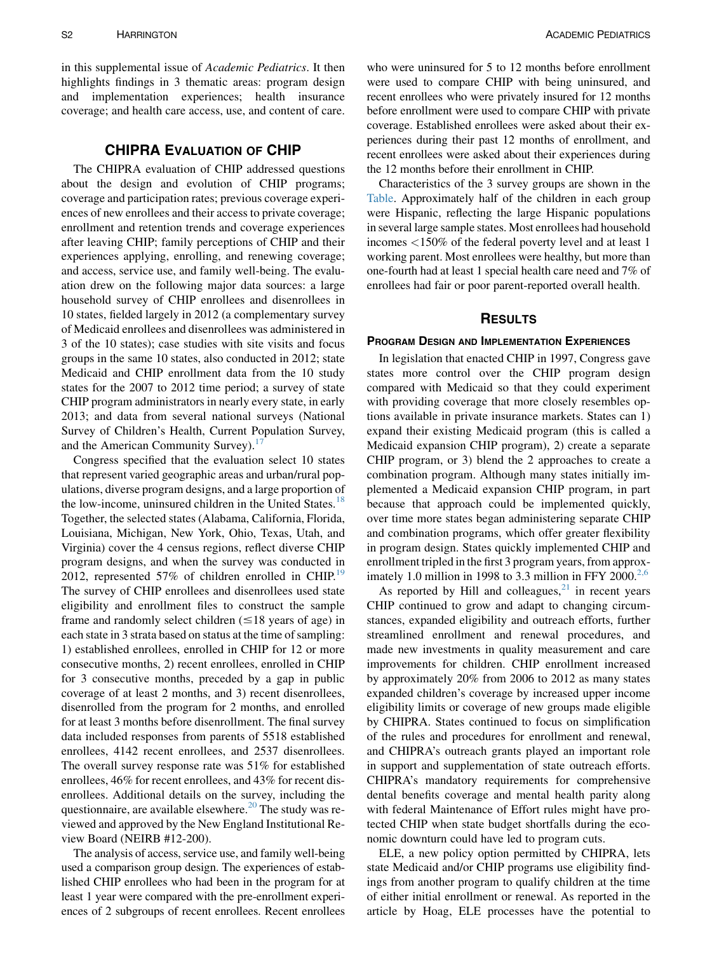in this supplemental issue of Academic Pediatrics. It then highlights findings in 3 thematic areas: program design and implementation experiences; health insurance coverage; and health care access, use, and content of care.

### CHIPRA EVALUATION OF CHIP

The CHIPRA evaluation of CHIP addressed questions about the design and evolution of CHIP programs; coverage and participation rates; previous coverage experiences of new enrollees and their access to private coverage; enrollment and retention trends and coverage experiences after leaving CHIP; family perceptions of CHIP and their experiences applying, enrolling, and renewing coverage; and access, service use, and family well-being. The evaluation drew on the following major data sources: a large household survey of CHIP enrollees and disenrollees in 10 states, fielded largely in 2012 (a complementary survey of Medicaid enrollees and disenrollees was administered in 3 of the 10 states); case studies with site visits and focus groups in the same 10 states, also conducted in 2012; state Medicaid and CHIP enrollment data from the 10 study states for the 2007 to 2012 time period; a survey of state CHIP program administrators in nearly every state, in early 2013; and data from several national surveys (National Survey of Children's Health, Current Population Survey, and the American Community Survey).<sup>1</sup>

Congress specified that the evaluation select 10 states that represent varied geographic areas and urban/rural populations, diverse program designs, and a large proportion of the low-income, uninsured children in the United States.<sup>[18](#page-5-0)</sup> Together, the selected states (Alabama, California, Florida, Louisiana, Michigan, New York, Ohio, Texas, Utah, and Virginia) cover the 4 census regions, reflect diverse CHIP program designs, and when the survey was conducted in 2012, represented 57% of children enrolled in CHIP.<sup>[19](#page-5-0)</sup> The survey of CHIP enrollees and disenrollees used state eligibility and enrollment files to construct the sample frame and randomly select children  $(\leq 18$  years of age) in each state in 3 strata based on status at the time of sampling: 1) established enrollees, enrolled in CHIP for 12 or more consecutive months, 2) recent enrollees, enrolled in CHIP for 3 consecutive months, preceded by a gap in public coverage of at least 2 months, and 3) recent disenrollees, disenrolled from the program for 2 months, and enrolled for at least 3 months before disenrollment. The final survey data included responses from parents of 5518 established enrollees, 4142 recent enrollees, and 2537 disenrollees. The overall survey response rate was 51% for established enrollees, 46% for recent enrollees, and 43% for recent disenrollees. Additional details on the survey, including the questionnaire, are available elsewhere.<sup>[20](#page-5-0)</sup> The study was reviewed and approved by the New England Institutional Review Board (NEIRB #12-200).

The analysis of access, service use, and family well-being used a comparison group design. The experiences of established CHIP enrollees who had been in the program for at least 1 year were compared with the pre-enrollment experiences of 2 subgroups of recent enrollees. Recent enrollees

who were uninsured for 5 to 12 months before enrollment were used to compare CHIP with being uninsured, and recent enrollees who were privately insured for 12 months before enrollment were used to compare CHIP with private coverage. Established enrollees were asked about their experiences during their past 12 months of enrollment, and recent enrollees were asked about their experiences during the 12 months before their enrollment in CHIP.

Characteristics of the 3 survey groups are shown in the [Table](#page-2-0). Approximately half of the children in each group were Hispanic, reflecting the large Hispanic populations in several large sample states. Most enrollees had household incomes <150% of the federal poverty level and at least 1 working parent. Most enrollees were healthy, but more than one-fourth had at least 1 special health care need and 7% of enrollees had fair or poor parent-reported overall health.

#### RESULTS

#### PROGRAM DESIGN AND IMPLEMENTATION EXPERIENCES

In legislation that enacted CHIP in 1997, Congress gave states more control over the CHIP program design compared with Medicaid so that they could experiment with providing coverage that more closely resembles options available in private insurance markets. States can 1) expand their existing Medicaid program (this is called a Medicaid expansion CHIP program), 2) create a separate CHIP program, or 3) blend the 2 approaches to create a combination program. Although many states initially implemented a Medicaid expansion CHIP program, in part because that approach could be implemented quickly, over time more states began administering separate CHIP and combination programs, which offer greater flexibility in program design. States quickly implemented CHIP and enrollment tripled in the first 3 program years, from approx-imately 1.0 million in 1998 to 3.3 million in FFY 2000.<sup>[2,6](#page-5-0)</sup>

As reported by Hill and colleagues, $21$  in recent years CHIP continued to grow and adapt to changing circumstances, expanded eligibility and outreach efforts, further streamlined enrollment and renewal procedures, and made new investments in quality measurement and care improvements for children. CHIP enrollment increased by approximately 20% from 2006 to 2012 as many states expanded children's coverage by increased upper income eligibility limits or coverage of new groups made eligible by CHIPRA. States continued to focus on simplification of the rules and procedures for enrollment and renewal, and CHIPRA's outreach grants played an important role in support and supplementation of state outreach efforts. CHIPRA's mandatory requirements for comprehensive dental benefits coverage and mental health parity along with federal Maintenance of Effort rules might have protected CHIP when state budget shortfalls during the economic downturn could have led to program cuts.

ELE, a new policy option permitted by CHIPRA, lets state Medicaid and/or CHIP programs use eligibility findings from another program to qualify children at the time of either initial enrollment or renewal. As reported in the article by Hoag, ELE processes have the potential to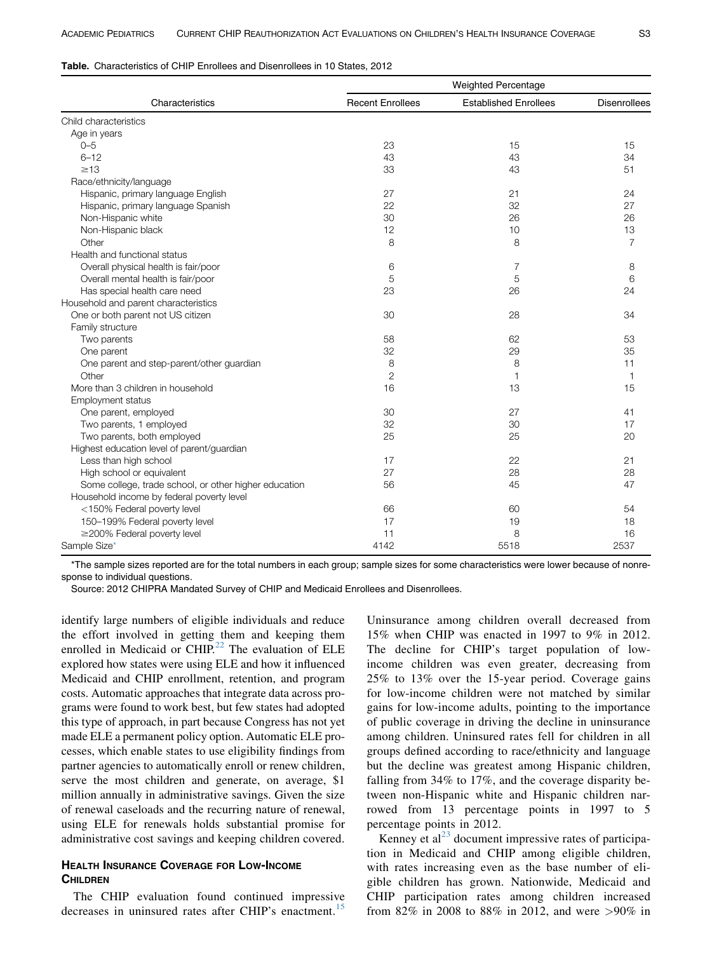#### <span id="page-2-0"></span>Table. Characteristics of CHIP Enrollees and Disenrollees in 10 States, 2012

| Characteristics                                       | <b>Weighted Percentage</b> |                              |                     |
|-------------------------------------------------------|----------------------------|------------------------------|---------------------|
|                                                       | <b>Recent Enrollees</b>    | <b>Established Enrollees</b> | <b>Disenrollees</b> |
| Child characteristics                                 |                            |                              |                     |
| Age in years                                          |                            |                              |                     |
| $0 - 5$                                               | 23                         | 15                           | 15                  |
| $6 - 12$                                              | 43                         | 43                           | 34                  |
| $\geq 13$                                             | 33                         | 43                           | 51                  |
| Race/ethnicity/language                               |                            |                              |                     |
| Hispanic, primary language English                    | 27                         | 21                           | 24                  |
| Hispanic, primary language Spanish                    | 22                         | 32                           | 27                  |
| Non-Hispanic white                                    | 30                         | 26                           | 26                  |
| Non-Hispanic black                                    | 12                         | 10                           | 13                  |
| Other                                                 | 8                          | 8                            | $\overline{7}$      |
| Health and functional status                          |                            |                              |                     |
| Overall physical health is fair/poor                  | 6                          | 7                            | 8                   |
| Overall mental health is fair/poor                    | 5                          | 5                            | 6                   |
| Has special health care need                          | 23                         | 26                           | 24                  |
| Household and parent characteristics                  |                            |                              |                     |
| One or both parent not US citizen                     | 30                         | 28                           | 34                  |
| Family structure                                      |                            |                              |                     |
| Two parents                                           | 58                         | 62                           | 53                  |
| One parent                                            | 32                         | 29                           | 35                  |
| One parent and step-parent/other guardian             | 8                          | 8                            | 11                  |
| Other                                                 | $\overline{2}$             | $\mathbf{1}$                 | $\mathbf{1}$        |
| More than 3 children in household                     | 16                         | 13                           | 15                  |
| <b>Employment status</b>                              |                            |                              |                     |
| One parent, employed                                  | 30                         | 27                           | 41                  |
| Two parents, 1 employed                               | 32                         | 30                           | 17                  |
| Two parents, both employed                            | 25                         | 25                           | 20                  |
| Highest education level of parent/guardian            |                            |                              |                     |
| Less than high school                                 | 17                         | 22                           | 21                  |
| High school or equivalent                             | 27                         | 28                           | 28                  |
| Some college, trade school, or other higher education | 56                         | 45                           | 47                  |
| Household income by federal poverty level             |                            |                              |                     |
| <150% Federal poverty level                           | 66                         | 60                           | 54                  |
| 150-199% Federal poverty level                        | 17                         | 19                           | 18                  |
| $\geq$ 200% Federal poverty level                     | 11                         | 8                            | 16                  |
| Sample Size*                                          | 4142                       | 5518                         | 2537                |

\*The sample sizes reported are for the total numbers in each group; sample sizes for some characteristics were lower because of nonresponse to individual questions.

Source: 2012 CHIPRA Mandated Survey of CHIP and Medicaid Enrollees and Disenrollees.

identify large numbers of eligible individuals and reduce the effort involved in getting them and keeping them enrolled in Medicaid or CHIP. $^{22}$  $^{22}$  $^{22}$  The evaluation of ELE explored how states were using ELE and how it influenced Medicaid and CHIP enrollment, retention, and program costs. Automatic approaches that integrate data across programs were found to work best, but few states had adopted this type of approach, in part because Congress has not yet made ELE a permanent policy option. Automatic ELE processes, which enable states to use eligibility findings from partner agencies to automatically enroll or renew children, serve the most children and generate, on average, \$1 million annually in administrative savings. Given the size of renewal caseloads and the recurring nature of renewal, using ELE for renewals holds substantial promise for administrative cost savings and keeping children covered.

#### HEALTH INSURANCE COVERAGE FOR LOW-INCOME **CHILDREN**

The CHIP evaluation found continued impressive decreases in uninsured rates after CHIP's enactment.<sup>[15](#page-5-0)</sup>

Uninsurance among children overall decreased from 15% when CHIP was enacted in 1997 to 9% in 2012. The decline for CHIP's target population of lowincome children was even greater, decreasing from 25% to 13% over the 15-year period. Coverage gains for low-income children were not matched by similar gains for low-income adults, pointing to the importance of public coverage in driving the decline in uninsurance among children. Uninsured rates fell for children in all groups defined according to race/ethnicity and language but the decline was greatest among Hispanic children, falling from 34% to 17%, and the coverage disparity between non-Hispanic white and Hispanic children narrowed from 13 percentage points in 1997 to 5 percentage points in 2012.

Kenney et al $^{23}$  $^{23}$  $^{23}$  document impressive rates of participation in Medicaid and CHIP among eligible children, with rates increasing even as the base number of eligible children has grown. Nationwide, Medicaid and CHIP participation rates among children increased from 82% in 2008 to 88% in 2012, and were >90% in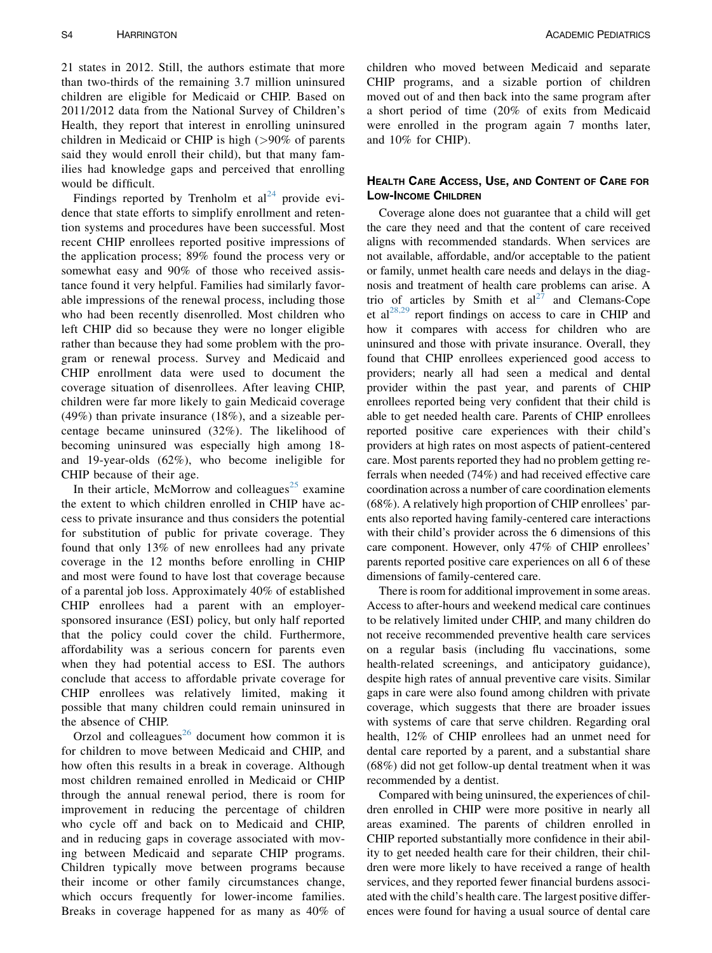21 states in 2012. Still, the authors estimate that more than two-thirds of the remaining 3.7 million uninsured children are eligible for Medicaid or CHIP. Based on 2011/2012 data from the National Survey of Children's Health, they report that interest in enrolling uninsured children in Medicaid or CHIP is high  $(>\!\!>90\%$  of parents said they would enroll their child), but that many families had knowledge gaps and perceived that enrolling would be difficult.

Findings reported by Trenholm et  $al^{24}$  $al^{24}$  $al^{24}$  provide evidence that state efforts to simplify enrollment and retention systems and procedures have been successful. Most recent CHIP enrollees reported positive impressions of the application process; 89% found the process very or somewhat easy and 90% of those who received assistance found it very helpful. Families had similarly favorable impressions of the renewal process, including those who had been recently disenrolled. Most children who left CHIP did so because they were no longer eligible rather than because they had some problem with the program or renewal process. Survey and Medicaid and CHIP enrollment data were used to document the coverage situation of disenrollees. After leaving CHIP, children were far more likely to gain Medicaid coverage (49%) than private insurance (18%), and a sizeable percentage became uninsured (32%). The likelihood of becoming uninsured was especially high among 18 and 19-year-olds (62%), who become ineligible for CHIP because of their age.

In their article, McMorrow and colleagues<sup>[25](#page-5-0)</sup> examine the extent to which children enrolled in CHIP have access to private insurance and thus considers the potential for substitution of public for private coverage. They found that only 13% of new enrollees had any private coverage in the 12 months before enrolling in CHIP and most were found to have lost that coverage because of a parental job loss. Approximately 40% of established CHIP enrollees had a parent with an employersponsored insurance (ESI) policy, but only half reported that the policy could cover the child. Furthermore, affordability was a serious concern for parents even when they had potential access to ESI. The authors conclude that access to affordable private coverage for CHIP enrollees was relatively limited, making it possible that many children could remain uninsured in the absence of CHIP.

Orzol and colleagues<sup>[26](#page-5-0)</sup> document how common it is for children to move between Medicaid and CHIP, and how often this results in a break in coverage. Although most children remained enrolled in Medicaid or CHIP through the annual renewal period, there is room for improvement in reducing the percentage of children who cycle off and back on to Medicaid and CHIP, and in reducing gaps in coverage associated with moving between Medicaid and separate CHIP programs. Children typically move between programs because their income or other family circumstances change, which occurs frequently for lower-income families. Breaks in coverage happened for as many as 40% of

children who moved between Medicaid and separate CHIP programs, and a sizable portion of children moved out of and then back into the same program after a short period of time (20% of exits from Medicaid were enrolled in the program again 7 months later, and 10% for CHIP).

## HEALTH CARE ACCESS, USE, AND CONTENT OF CARE FOR LOW-INCOME CHILDREN

Coverage alone does not guarantee that a child will get the care they need and that the content of care received aligns with recommended standards. When services are not available, affordable, and/or acceptable to the patient or family, unmet health care needs and delays in the diagnosis and treatment of health care problems can arise. A trio of articles by Smith et  $al^{27}$  and Clemans-Cope et al<sup>28,29</sup> report findings on access to care in CHIP and how it compares with access for children who are uninsured and those with private insurance. Overall, they found that CHIP enrollees experienced good access to providers; nearly all had seen a medical and dental provider within the past year, and parents of CHIP enrollees reported being very confident that their child is able to get needed health care. Parents of CHIP enrollees reported positive care experiences with their child's providers at high rates on most aspects of patient-centered care. Most parents reported they had no problem getting referrals when needed (74%) and had received effective care coordination across a number of care coordination elements (68%). A relatively high proportion of CHIP enrollees' parents also reported having family-centered care interactions with their child's provider across the 6 dimensions of this care component. However, only 47% of CHIP enrollees' parents reported positive care experiences on all 6 of these dimensions of family-centered care.

There is room for additional improvement in some areas. Access to after-hours and weekend medical care continues to be relatively limited under CHIP, and many children do not receive recommended preventive health care services on a regular basis (including flu vaccinations, some health-related screenings, and anticipatory guidance), despite high rates of annual preventive care visits. Similar gaps in care were also found among children with private coverage, which suggests that there are broader issues with systems of care that serve children. Regarding oral health, 12% of CHIP enrollees had an unmet need for dental care reported by a parent, and a substantial share (68%) did not get follow-up dental treatment when it was recommended by a dentist.

Compared with being uninsured, the experiences of children enrolled in CHIP were more positive in nearly all areas examined. The parents of children enrolled in CHIP reported substantially more confidence in their ability to get needed health care for their children, their children were more likely to have received a range of health services, and they reported fewer financial burdens associated with the child's health care. The largest positive differences were found for having a usual source of dental care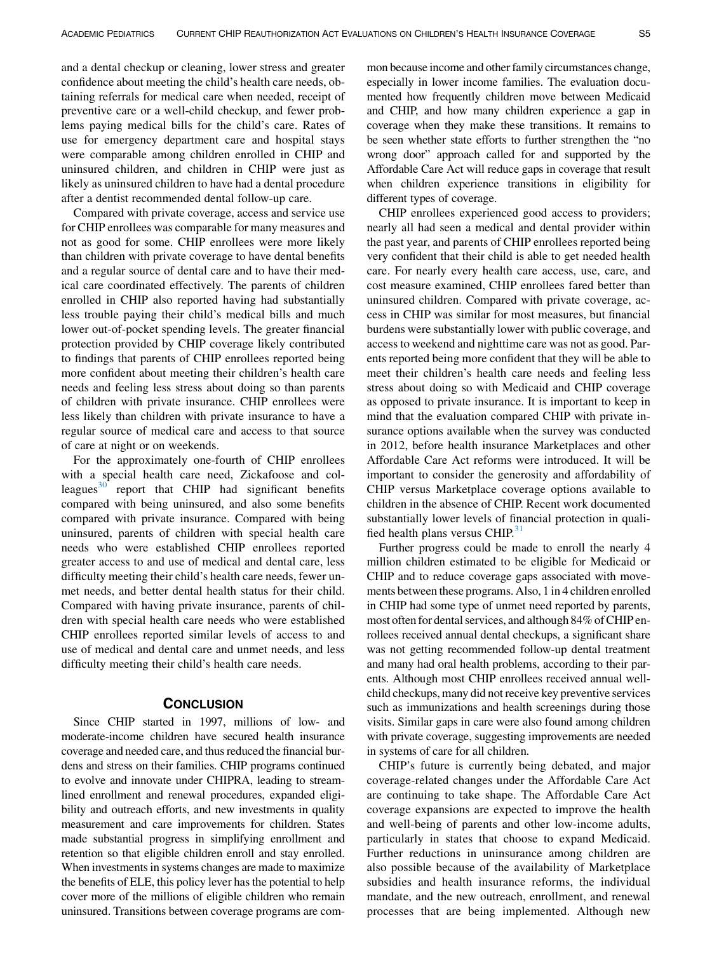and a dental checkup or cleaning, lower stress and greater confidence about meeting the child's health care needs, obtaining referrals for medical care when needed, receipt of preventive care or a well-child checkup, and fewer problems paying medical bills for the child's care. Rates of use for emergency department care and hospital stays were comparable among children enrolled in CHIP and uninsured children, and children in CHIP were just as likely as uninsured children to have had a dental procedure after a dentist recommended dental follow-up care.

Compared with private coverage, access and service use for CHIP enrollees was comparable for many measures and not as good for some. CHIP enrollees were more likely than children with private coverage to have dental benefits and a regular source of dental care and to have their medical care coordinated effectively. The parents of children enrolled in CHIP also reported having had substantially less trouble paying their child's medical bills and much lower out-of-pocket spending levels. The greater financial protection provided by CHIP coverage likely contributed to findings that parents of CHIP enrollees reported being more confident about meeting their children's health care needs and feeling less stress about doing so than parents of children with private insurance. CHIP enrollees were less likely than children with private insurance to have a regular source of medical care and access to that source of care at night or on weekends.

For the approximately one-fourth of CHIP enrollees with a special health care need, Zickafoose and colleagues $30$  report that CHIP had significant benefits compared with being uninsured, and also some benefits compared with private insurance. Compared with being uninsured, parents of children with special health care needs who were established CHIP enrollees reported greater access to and use of medical and dental care, less difficulty meeting their child's health care needs, fewer unmet needs, and better dental health status for their child. Compared with having private insurance, parents of children with special health care needs who were established CHIP enrollees reported similar levels of access to and use of medical and dental care and unmet needs, and less difficulty meeting their child's health care needs.

#### **CONCLUSION**

Since CHIP started in 1997, millions of low- and moderate-income children have secured health insurance coverage and needed care, and thus reduced the financial burdens and stress on their families. CHIP programs continued to evolve and innovate under CHIPRA, leading to streamlined enrollment and renewal procedures, expanded eligibility and outreach efforts, and new investments in quality measurement and care improvements for children. States made substantial progress in simplifying enrollment and retention so that eligible children enroll and stay enrolled. When investments in systems changes are made to maximize the benefits of ELE, this policy lever has the potential to help cover more of the millions of eligible children who remain uninsured. Transitions between coverage programs are com-

mon because income and other family circumstances change, especially in lower income families. The evaluation documented how frequently children move between Medicaid and CHIP, and how many children experience a gap in coverage when they make these transitions. It remains to be seen whether state efforts to further strengthen the "no wrong door" approach called for and supported by the Affordable Care Act will reduce gaps in coverage that result when children experience transitions in eligibility for different types of coverage.

CHIP enrollees experienced good access to providers; nearly all had seen a medical and dental provider within the past year, and parents of CHIP enrollees reported being very confident that their child is able to get needed health care. For nearly every health care access, use, care, and cost measure examined, CHIP enrollees fared better than uninsured children. Compared with private coverage, access in CHIP was similar for most measures, but financial burdens were substantially lower with public coverage, and access to weekend and nighttime care was not as good. Parents reported being more confident that they will be able to meet their children's health care needs and feeling less stress about doing so with Medicaid and CHIP coverage as opposed to private insurance. It is important to keep in mind that the evaluation compared CHIP with private insurance options available when the survey was conducted in 2012, before health insurance Marketplaces and other Affordable Care Act reforms were introduced. It will be important to consider the generosity and affordability of CHIP versus Marketplace coverage options available to children in the absence of CHIP. Recent work documented substantially lower levels of financial protection in quali-fied health plans versus CHIP.<sup>[31](#page-5-0)</sup>

Further progress could be made to enroll the nearly 4 million children estimated to be eligible for Medicaid or CHIP and to reduce coverage gaps associated with movements between these programs. Also, 1 in 4 children enrolled in CHIP had some type of unmet need reported by parents, most often for dental services, and although 84% of CHIP enrollees received annual dental checkups, a significant share was not getting recommended follow-up dental treatment and many had oral health problems, according to their parents. Although most CHIP enrollees received annual wellchild checkups, many did not receive key preventive services such as immunizations and health screenings during those visits. Similar gaps in care were also found among children with private coverage, suggesting improvements are needed in systems of care for all children.

CHIP's future is currently being debated, and major coverage-related changes under the Affordable Care Act are continuing to take shape. The Affordable Care Act coverage expansions are expected to improve the health and well-being of parents and other low-income adults, particularly in states that choose to expand Medicaid. Further reductions in uninsurance among children are also possible because of the availability of Marketplace subsidies and health insurance reforms, the individual mandate, and the new outreach, enrollment, and renewal processes that are being implemented. Although new